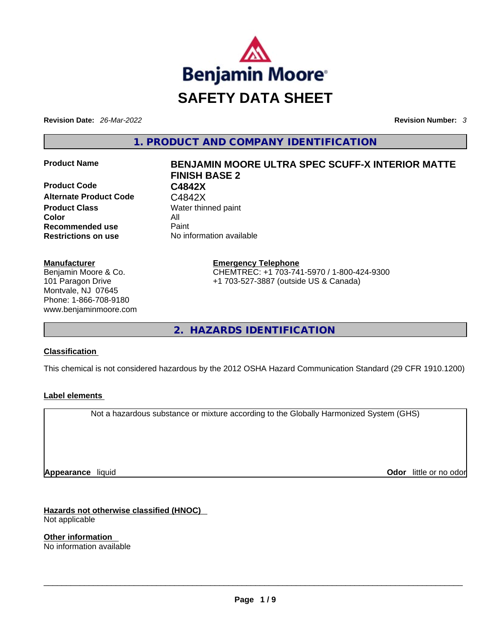

**Revision Date:** *26-Mar-2022* **Revision Number:** *3*

**1. PRODUCT AND COMPANY IDENTIFICATION** 

**Product Code C4842X**  Alternate Product Code **C4842X Product Class Water thinned paint Color** All **Recommended use Paint Restrictions on use** No information available

#### **Manufacturer**

Benjamin Moore & Co. 101 Paragon Drive Montvale, NJ 07645 Phone: 1-866-708-9180 www.benjaminmoore.com

# **Product Name BENJAMIN MOORE ULTRA SPEC SCUFF-X INTERIOR MATTE FINISH BASE 2**

**Emergency Telephone** CHEMTREC: +1 703-741-5970 / 1-800-424-9300

+1 703-527-3887 (outside US & Canada)

**2. HAZARDS IDENTIFICATION** 

# **Classification**

This chemical is not considered hazardous by the 2012 OSHA Hazard Communication Standard (29 CFR 1910.1200)

# **Label elements**

Not a hazardous substance or mixture according to the Globally Harmonized System (GHS)

**Appearance** liquid

**Odor** little or no odor

**Hazards not otherwise classified (HNOC)**  Not applicable

**Other information**  No information available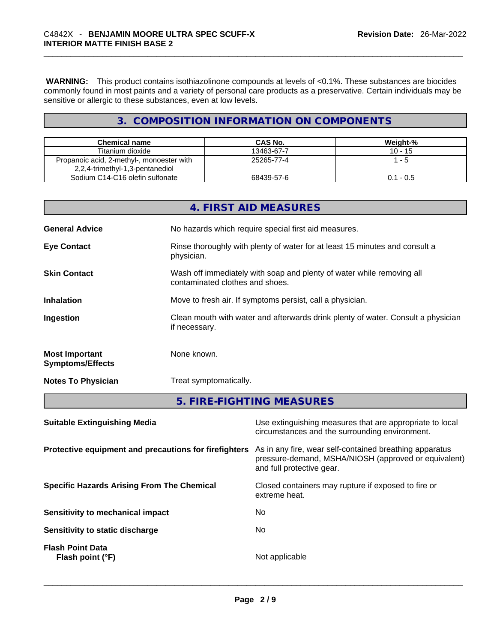**WARNING:** This product contains isothiazolinone compounds at levels of <0.1%. These substances are biocides commonly found in most paints and a variety of personal care products as a preservative. Certain individuals may be sensitive or allergic to these substances, even at low levels.

# **3. COMPOSITION INFORMATION ON COMPONENTS**

| <b>Chemical name</b>                                                         | CAS No.    | Weight-%    |
|------------------------------------------------------------------------------|------------|-------------|
| Titanium dioxide                                                             | 13463-67-7 | $10 - 15$   |
| Propanoic acid, 2-methyl-, monoester with<br>2,2,4-trimethyl-1,3-pentanediol | 25265-77-4 | l - 5       |
| Sodium C14-C16 olefin sulfonate                                              | 68439-57-6 | $0.1 - 0.5$ |

|                                                  | if necessary.                                            |
|--------------------------------------------------|----------------------------------------------------------|
| <b>Most Important</b><br><b>Symptoms/Effects</b> | None known.                                              |
| <b>Notes To Physician</b>                        | Treat symptomatically.                                   |
|                                                  | 5. FIRE-FIGHTING MEASURES                                |
| <b>Suitable Extinguishing Media</b>              | Use extinguishing measures that are appropriate to local |

|                                                       | circumstances and the surrounding environment.                                                                                               |
|-------------------------------------------------------|----------------------------------------------------------------------------------------------------------------------------------------------|
| Protective equipment and precautions for firefighters | As in any fire, wear self-contained breathing apparatus<br>pressure-demand, MSHA/NIOSH (approved or equivalent)<br>and full protective gear. |
| <b>Specific Hazards Arising From The Chemical</b>     | Closed containers may rupture if exposed to fire or<br>extreme heat.                                                                         |
| Sensitivity to mechanical impact                      | No                                                                                                                                           |
| Sensitivity to static discharge                       | No.                                                                                                                                          |
| <b>Flash Point Data</b><br>Flash point (°F)           | Not applicable                                                                                                                               |
|                                                       |                                                                                                                                              |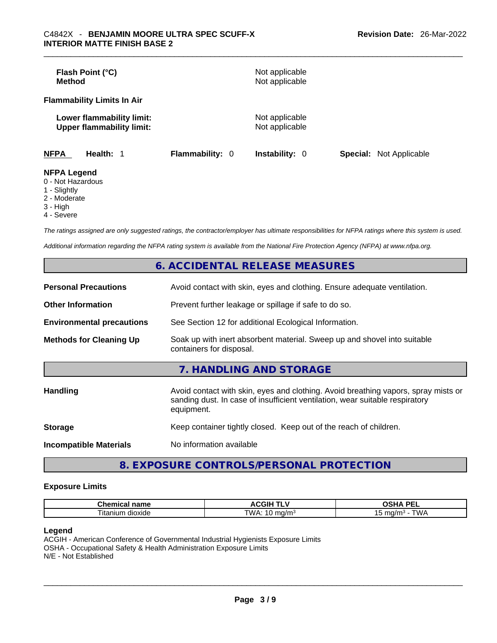| <b>Method</b>                           | Flash Point (°C)                                              |                        | Not applicable<br>Not applicable |                                |
|-----------------------------------------|---------------------------------------------------------------|------------------------|----------------------------------|--------------------------------|
|                                         | <b>Flammability Limits In Air</b>                             |                        |                                  |                                |
|                                         | Lower flammability limit:<br><b>Upper flammability limit:</b> |                        | Not applicable<br>Not applicable |                                |
| <b>NFPA</b>                             | Health: 1                                                     | <b>Flammability: 0</b> | <b>Instability: 0</b>            | <b>Special:</b> Not Applicable |
| <b>NFPA Legend</b><br>$0$ Not Horordoug |                                                               |                        |                                  |                                |

- 0 Not Hazardous
- 1 Slightly
- 2 Moderate
- 3 High
- 4 Severe

*The ratings assigned are only suggested ratings, the contractor/employer has ultimate responsibilities for NFPA ratings where this system is used.* 

*Additional information regarding the NFPA rating system is available from the National Fire Protection Agency (NFPA) at www.nfpa.org.* 

|                                  | 6. ACCIDENTAL RELEASE MEASURES                                                                                                                                                   |
|----------------------------------|----------------------------------------------------------------------------------------------------------------------------------------------------------------------------------|
| <b>Personal Precautions</b>      | Avoid contact with skin, eyes and clothing. Ensure adequate ventilation.                                                                                                         |
| <b>Other Information</b>         | Prevent further leakage or spillage if safe to do so.                                                                                                                            |
| <b>Environmental precautions</b> | See Section 12 for additional Ecological Information.                                                                                                                            |
| <b>Methods for Cleaning Up</b>   | Soak up with inert absorbent material. Sweep up and shovel into suitable<br>containers for disposal.                                                                             |
|                                  | 7. HANDLING AND STORAGE                                                                                                                                                          |
| <b>Handling</b>                  | Avoid contact with skin, eyes and clothing. Avoid breathing vapors, spray mists or<br>sanding dust. In case of insufficient ventilation, wear suitable respiratory<br>equipment. |
| <b>Storage</b>                   | Keep container tightly closed. Keep out of the reach of children.                                                                                                                |
| <b>Incompatible Materials</b>    | No information available                                                                                                                                                         |
|                                  |                                                                                                                                                                                  |

# **8. EXPOSURE CONTROLS/PERSONAL PROTECTION**

#### **Exposure Limits**

| $P_{\rm{max}}$<br>------<br>⊶ne<br>ш<br>панк | .<br>ш<br>ווט      | <b>DE</b><br>$\mathbf{r}$<br>$-1$<br>-- |
|----------------------------------------------|--------------------|-----------------------------------------|
| --<br>⊺ıtanıum<br>dioxide                    | TWA<br>.a/m<br>. . | .<br>. .                                |

#### **Legend**

ACGIH - American Conference of Governmental Industrial Hygienists Exposure Limits OSHA - Occupational Safety & Health Administration Exposure Limits N/E - Not Established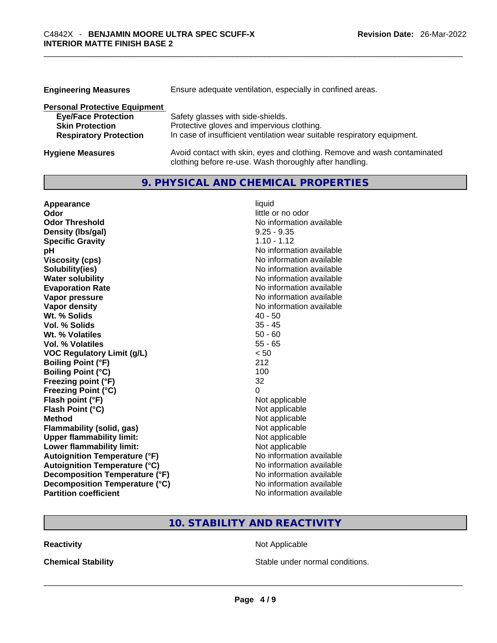| <b>Engineering Measures</b>          | Ensure adequate ventilation, especially in confined areas.                                                                          |
|--------------------------------------|-------------------------------------------------------------------------------------------------------------------------------------|
| <b>Personal Protective Equipment</b> |                                                                                                                                     |
| <b>Eye/Face Protection</b>           | Safety glasses with side-shields.                                                                                                   |
| <b>Skin Protection</b>               | Protective gloves and impervious clothing.                                                                                          |
| <b>Respiratory Protection</b>        | In case of insufficient ventilation wear suitable respiratory equipment.                                                            |
| <b>Hygiene Measures</b>              | Avoid contact with skin, eyes and clothing. Remove and wash contaminated<br>clothing before re-use. Wash thoroughly after handling. |

# **9. PHYSICAL AND CHEMICAL PROPERTIES**

| Appearance                           | liquid                   |
|--------------------------------------|--------------------------|
| Odor                                 | little or no odor        |
| <b>Odor Threshold</b>                | No information available |
| Density (Ibs/gal)                    | $9.25 - 9.35$            |
| <b>Specific Gravity</b>              | $1.10 - 1.12$            |
| рH                                   | No information available |
| <b>Viscosity (cps)</b>               | No information available |
| Solubility(ies)                      | No information available |
| <b>Water solubility</b>              | No information available |
| <b>Evaporation Rate</b>              | No information available |
| Vapor pressure                       | No information available |
| <b>Vapor density</b>                 | No information available |
| Wt. % Solids                         | $40 - 50$                |
| Vol. % Solids                        | $35 - 45$                |
| Wt. % Volatiles                      | $50 - 60$                |
| Vol. % Volatiles                     | $55 - 65$                |
| <b>VOC Regulatory Limit (g/L)</b>    | < 50                     |
| <b>Boiling Point (°F)</b>            | 212                      |
| <b>Boiling Point (°C)</b>            | 100                      |
| Freezing point (°F)                  | 32                       |
| <b>Freezing Point (°C)</b>           | 0                        |
| Flash point (°F)                     | Not applicable           |
| Flash Point (°C)                     | Not applicable           |
| <b>Method</b>                        | Not applicable           |
| <b>Flammability (solid, gas)</b>     | Not applicable           |
| <b>Upper flammability limit:</b>     | Not applicable           |
| Lower flammability limit:            | Not applicable           |
| <b>Autoignition Temperature (°F)</b> | No information available |
| <b>Autoignition Temperature (°C)</b> | No information available |
| Decomposition Temperature (°F)       | No information available |
| Decomposition Temperature (°C)       | No information available |
| <b>Partition coefficient</b>         | No information available |

# **10. STABILITY AND REACTIVITY**

**Reactivity Not Applicable Not Applicable** 

**Chemical Stability Stable under normal conditions.** Stable under normal conditions.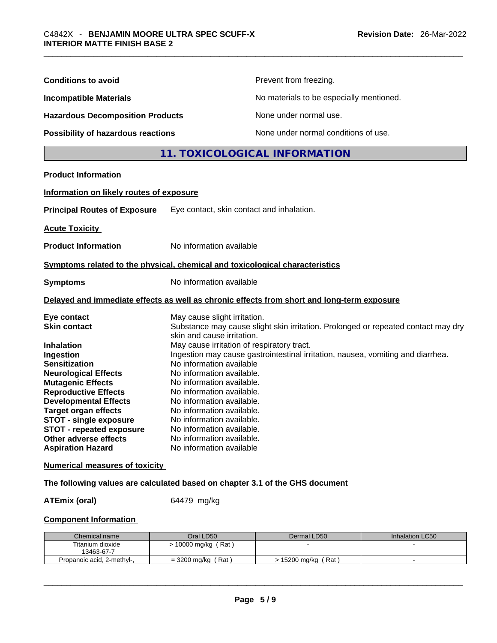| <b>Conditions to avoid</b>                                                                                                                                                                                                                                                                                                                                                     |                                                                                                                                                                                                                                                                                                                                                                                                          | Prevent from freezing.                                                                                                                                               |                 |
|--------------------------------------------------------------------------------------------------------------------------------------------------------------------------------------------------------------------------------------------------------------------------------------------------------------------------------------------------------------------------------|----------------------------------------------------------------------------------------------------------------------------------------------------------------------------------------------------------------------------------------------------------------------------------------------------------------------------------------------------------------------------------------------------------|----------------------------------------------------------------------------------------------------------------------------------------------------------------------|-----------------|
| <b>Incompatible Materials</b>                                                                                                                                                                                                                                                                                                                                                  |                                                                                                                                                                                                                                                                                                                                                                                                          | No materials to be especially mentioned.                                                                                                                             |                 |
| <b>Hazardous Decomposition Products</b>                                                                                                                                                                                                                                                                                                                                        |                                                                                                                                                                                                                                                                                                                                                                                                          | None under normal use.                                                                                                                                               |                 |
| Possibility of hazardous reactions                                                                                                                                                                                                                                                                                                                                             |                                                                                                                                                                                                                                                                                                                                                                                                          | None under normal conditions of use.                                                                                                                                 |                 |
|                                                                                                                                                                                                                                                                                                                                                                                |                                                                                                                                                                                                                                                                                                                                                                                                          | 11. TOXICOLOGICAL INFORMATION                                                                                                                                        |                 |
| <b>Product Information</b>                                                                                                                                                                                                                                                                                                                                                     |                                                                                                                                                                                                                                                                                                                                                                                                          |                                                                                                                                                                      |                 |
| Information on likely routes of exposure                                                                                                                                                                                                                                                                                                                                       |                                                                                                                                                                                                                                                                                                                                                                                                          |                                                                                                                                                                      |                 |
| <b>Principal Routes of Exposure</b>                                                                                                                                                                                                                                                                                                                                            | Eye contact, skin contact and inhalation.                                                                                                                                                                                                                                                                                                                                                                |                                                                                                                                                                      |                 |
| <b>Acute Toxicity</b>                                                                                                                                                                                                                                                                                                                                                          |                                                                                                                                                                                                                                                                                                                                                                                                          |                                                                                                                                                                      |                 |
| <b>Product Information</b>                                                                                                                                                                                                                                                                                                                                                     | No information available                                                                                                                                                                                                                                                                                                                                                                                 |                                                                                                                                                                      |                 |
| Symptoms related to the physical, chemical and toxicological characteristics                                                                                                                                                                                                                                                                                                   |                                                                                                                                                                                                                                                                                                                                                                                                          |                                                                                                                                                                      |                 |
| <b>Symptoms</b>                                                                                                                                                                                                                                                                                                                                                                |                                                                                                                                                                                                                                                                                                                                                                                                          | No information available                                                                                                                                             |                 |
| Delayed and immediate effects as well as chronic effects from short and long-term exposure                                                                                                                                                                                                                                                                                     |                                                                                                                                                                                                                                                                                                                                                                                                          |                                                                                                                                                                      |                 |
| Eye contact<br><b>Skin contact</b><br><b>Inhalation</b><br>Ingestion<br><b>Sensitization</b><br><b>Neurological Effects</b><br><b>Mutagenic Effects</b><br><b>Reproductive Effects</b><br><b>Developmental Effects</b><br><b>Target organ effects</b><br><b>STOT - single exposure</b><br><b>STOT - repeated exposure</b><br>Other adverse effects<br><b>Aspiration Hazard</b> | May cause slight irritation.<br>skin and cause irritation.<br>May cause irritation of respiratory tract.<br>No information available<br>No information available.<br>No information available.<br>No information available.<br>No information available.<br>No information available.<br>No information available.<br>No information available.<br>No information available.<br>No information available | Substance may cause slight skin irritation. Prolonged or repeated contact may dry<br>Ingestion may cause gastrointestinal irritation, nausea, vomiting and diarrhea. |                 |
| <b>Numerical measures of toxicity</b>                                                                                                                                                                                                                                                                                                                                          |                                                                                                                                                                                                                                                                                                                                                                                                          |                                                                                                                                                                      |                 |
| The following values are calculated based on chapter 3.1 of the GHS document                                                                                                                                                                                                                                                                                                   |                                                                                                                                                                                                                                                                                                                                                                                                          |                                                                                                                                                                      |                 |
| <b>ATEmix (oral)</b>                                                                                                                                                                                                                                                                                                                                                           | 64479 mg/kg                                                                                                                                                                                                                                                                                                                                                                                              |                                                                                                                                                                      |                 |
| <b>Component Information</b>                                                                                                                                                                                                                                                                                                                                                   |                                                                                                                                                                                                                                                                                                                                                                                                          |                                                                                                                                                                      |                 |
| Chemical name                                                                                                                                                                                                                                                                                                                                                                  | Oral LD50                                                                                                                                                                                                                                                                                                                                                                                                | Dermal LD50                                                                                                                                                          | Inhalation LC50 |
| Titanium dioxide<br>13463-67-7                                                                                                                                                                                                                                                                                                                                                 | > 10000 mg/kg (Rat)                                                                                                                                                                                                                                                                                                                                                                                      |                                                                                                                                                                      |                 |
| Propanoic acid, 2-methyl-,                                                                                                                                                                                                                                                                                                                                                     | $=$ 3200 mg/kg (Rat)                                                                                                                                                                                                                                                                                                                                                                                     | > 15200 mg/kg (Rat)                                                                                                                                                  |                 |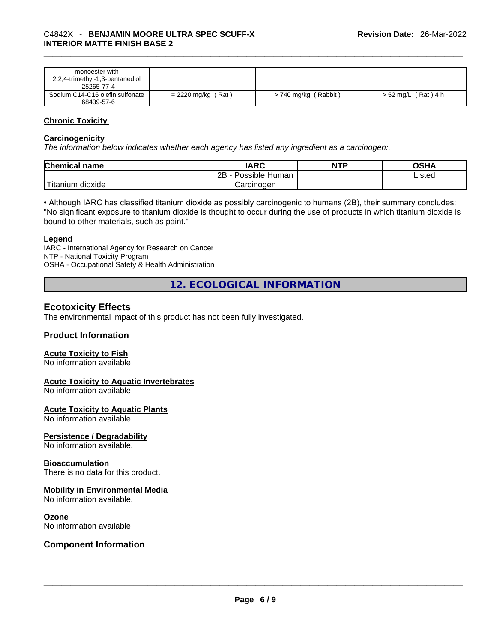| monoester with                  |                      |                      |                     |
|---------------------------------|----------------------|----------------------|---------------------|
| 2,2,4-trimethyl-1,3-pentanediol |                      |                      |                     |
| 25265-77-4                      |                      |                      |                     |
| Sodium C14-C16 olefin sulfonate | $= 2220$ mg/kg (Rat) | > 740 mg/kg (Rabbit) | > 52 mg/L (Rat) 4 h |
| 68439-57-6                      |                      |                      |                     |

# **Chronic Toxicity**

#### **Carcinogenicity**

*The information below indicates whether each agency has listed any ingredient as a carcinogen:.* 

| <b>Chemical name</b>    | IARC                 | <b>NTP</b> | OSHA   |
|-------------------------|----------------------|------------|--------|
|                         | Possible Human<br>2Β |            | ∟isted |
| ` Titanium 、<br>dioxide | Carcinogen           |            |        |

• Although IARC has classified titanium dioxide as possibly carcinogenic to humans (2B), their summary concludes: "No significant exposure to titanium dioxide is thought to occur during the use of products in which titanium dioxide is bound to other materials, such as paint."

#### **Legend**

IARC - International Agency for Research on Cancer NTP - National Toxicity Program OSHA - Occupational Safety & Health Administration

**12. ECOLOGICAL INFORMATION** 

# **Ecotoxicity Effects**

The environmental impact of this product has not been fully investigated.

#### **Product Information**

#### **Acute Toxicity to Fish**

No information available

#### **Acute Toxicity to Aquatic Invertebrates**

No information available

#### **Acute Toxicity to Aquatic Plants**

No information available

#### **Persistence / Degradability**

No information available.

#### **Bioaccumulation**

There is no data for this product.

#### **Mobility in Environmental Media**

No information available.

#### **Ozone**

# No information available \_\_\_\_\_\_\_\_\_\_\_\_\_\_\_\_\_\_\_\_\_\_\_\_\_\_\_\_\_\_\_\_\_\_\_\_\_\_\_\_\_\_\_\_\_\_\_\_\_\_\_\_\_\_\_\_\_\_\_\_\_\_\_\_\_\_\_\_\_\_\_\_\_\_\_\_\_\_\_\_\_\_\_\_\_\_\_\_\_\_\_\_\_ **Component Information**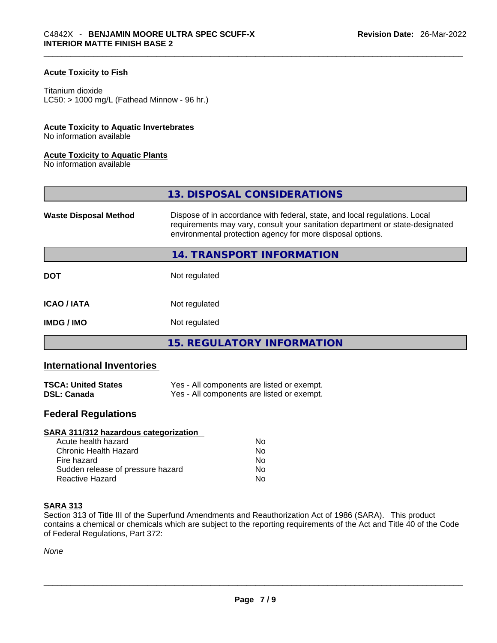# **Acute Toxicity to Fish**

#### Titanium dioxide

 $LCS0: > 1000$  mg/L (Fathead Minnow - 96 hr.)

#### **Acute Toxicity to Aquatic Invertebrates**

No information available

#### **Acute Toxicity to Aquatic Plants**

No information available

|                              | 13. DISPOSAL CONSIDERATIONS                                                                                                                                                                                               |
|------------------------------|---------------------------------------------------------------------------------------------------------------------------------------------------------------------------------------------------------------------------|
| <b>Waste Disposal Method</b> | Dispose of in accordance with federal, state, and local regulations. Local<br>requirements may vary, consult your sanitation department or state-designated<br>environmental protection agency for more disposal options. |
|                              | 14. TRANSPORT INFORMATION                                                                                                                                                                                                 |
| <b>DOT</b>                   | Not regulated                                                                                                                                                                                                             |
| <b>ICAO/IATA</b>             | Not regulated                                                                                                                                                                                                             |
| <b>IMDG/IMO</b>              | Not regulated                                                                                                                                                                                                             |
|                              | 15. REGULATORY INFORMATION                                                                                                                                                                                                |

# **International Inventories**

| <b>TSCA: United States</b> | Yes - All components are listed or exempt. |
|----------------------------|--------------------------------------------|
| <b>DSL: Canada</b>         | Yes - All components are listed or exempt. |

# **Federal Regulations**

| SARA 311/312 hazardous categorization |    |  |
|---------------------------------------|----|--|
| Acute health hazard                   | Nο |  |
| Chronic Health Hazard                 | No |  |
| Fire hazard                           | No |  |
| Sudden release of pressure hazard     | No |  |
| Reactive Hazard                       | No |  |

#### **SARA 313**

Section 313 of Title III of the Superfund Amendments and Reauthorization Act of 1986 (SARA). This product contains a chemical or chemicals which are subject to the reporting requirements of the Act and Title 40 of the Code of Federal Regulations, Part 372:

*None*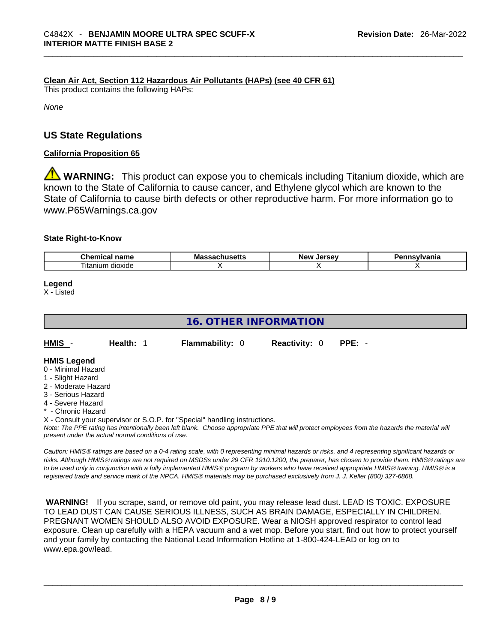# **Clean Air Act,Section 112 Hazardous Air Pollutants (HAPs) (see 40 CFR 61)**

This product contains the following HAPs:

*None*

# **US State Regulations**

### **California Proposition 65**

**WARNING:** This product can expose you to chemicals including Titanium dioxide, which are known to the State of California to cause cancer, and Ethylene glycol which are known to the State of California to cause birth defects or other reproductive harm. For more information go to www.P65Warnings.ca.gov

#### **State Right-to-Know**

| $\sim$<br>$  -$<br>--<br><br>чанк              | Мô | lorcov<br>Nev | -----------<br>нс |
|------------------------------------------------|----|---------------|-------------------|
| $\overline{\phantom{a}}$<br>dioxide<br>ıtanıum |    |               |                   |

**Legend**

X - Listed

# **16. OTHER INFORMATION**

| HMIS                                  | Health: 1 | <b>Flammability: 0</b> | <b>Reactivity: 0</b> | PPE: - |
|---------------------------------------|-----------|------------------------|----------------------|--------|
| <b>HMIS Legend</b><br>_ _ _ _ _ _ _ _ |           |                        |                      |        |

- 0 Minimal Hazard
- 1 Slight Hazard
- 2 Moderate Hazard
- 3 Serious Hazard
- 4 Severe Hazard
- **Chronic Hazard**
- X Consult your supervisor or S.O.P. for "Special" handling instructions.

Note: The PPE rating has intentionally been left blank. Choose appropriate PPE that will protect employees from the hazards the material will *present under the actual normal conditions of use.* 

*Caution: HMISÒ ratings are based on a 0-4 rating scale, with 0 representing minimal hazards or risks, and 4 representing significant hazards or risks. Although HMISÒ ratings are not required on MSDSs under 29 CFR 1910.1200, the preparer, has chosen to provide them. HMISÒ ratings are to be used only in conjunction with a fully implemented HMISÒ program by workers who have received appropriate HMISÒ training. HMISÒ is a registered trade and service mark of the NPCA. HMISÒ materials may be purchased exclusively from J. J. Keller (800) 327-6868.* 

 **WARNING!** If you scrape, sand, or remove old paint, you may release lead dust. LEAD IS TOXIC. EXPOSURE TO LEAD DUST CAN CAUSE SERIOUS ILLNESS, SUCH AS BRAIN DAMAGE, ESPECIALLY IN CHILDREN. PREGNANT WOMEN SHOULD ALSO AVOID EXPOSURE.Wear a NIOSH approved respirator to control lead exposure. Clean up carefully with a HEPA vacuum and a wet mop. Before you start, find out how to protect yourself and your family by contacting the National Lead Information Hotline at 1-800-424-LEAD or log on to www.epa.gov/lead.